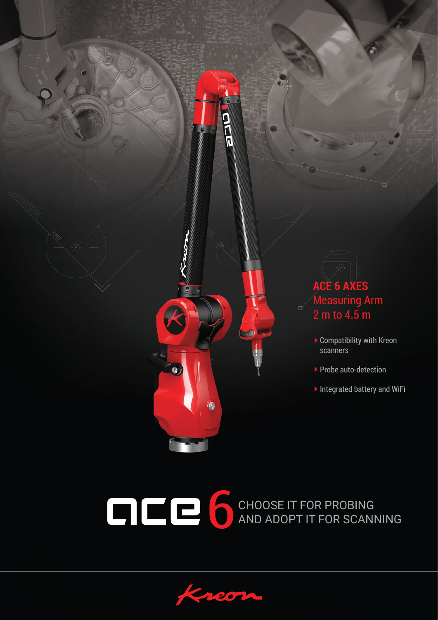



 $\bullet$